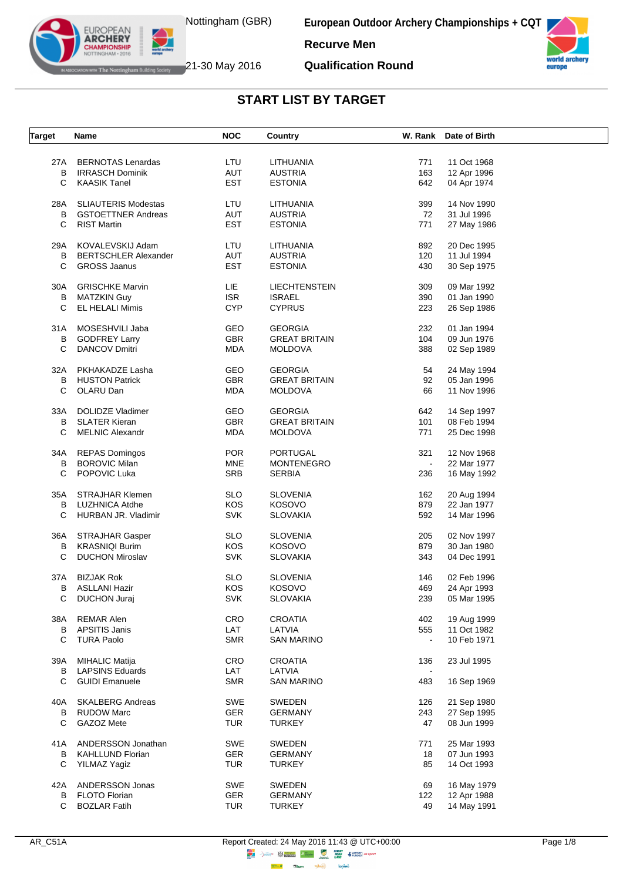



**Qualification Round**



The Nottingham Building Society  $21$ -30 May 2016

EUROPEAN **ARCHERY IPIONSHII** 

**START LIST BY TARGET**

| <b>Target</b> | Name                        | <b>NOC</b> | Country              |                | W. Rank Date of Birth |  |
|---------------|-----------------------------|------------|----------------------|----------------|-----------------------|--|
|               |                             |            |                      |                |                       |  |
| 27A           | <b>BERNOTAS Lenardas</b>    | LTU        | LITHUANIA            | 771            | 11 Oct 1968           |  |
| B             | <b>IRRASCH Dominik</b>      | AUT        | <b>AUSTRIA</b>       | 163            | 12 Apr 1996           |  |
| С             | <b>KAASIK Tanel</b>         | <b>EST</b> | <b>ESTONIA</b>       | 642            | 04 Apr 1974           |  |
|               |                             |            |                      |                |                       |  |
| 28A           | <b>SLIAUTERIS Modestas</b>  | LTU        | LITHUANIA            | 399            | 14 Nov 1990           |  |
| В             | <b>GSTOETTNER Andreas</b>   | AUT        | <b>AUSTRIA</b>       | 72             | 31 Jul 1996           |  |
| C.            | <b>RIST Martin</b>          | <b>EST</b> | <b>ESTONIA</b>       | 771            | 27 May 1986           |  |
|               |                             |            |                      |                | 20 Dec 1995           |  |
| 29A           | KOVALEVSKIJ Adam            | LTU<br>AUT | LITHUANIA            | 892            |                       |  |
| В             | <b>BERTSCHLER Alexander</b> |            | <b>AUSTRIA</b>       | 120            | 11 Jul 1994           |  |
| С             | <b>GROSS Jaanus</b>         | <b>EST</b> | <b>ESTONIA</b>       | 430            | 30 Sep 1975           |  |
| 30A           | <b>GRISCHKE Marvin</b>      | LIE        | <b>LIECHTENSTEIN</b> | 309            | 09 Mar 1992           |  |
| B             | <b>MATZKIN Guy</b>          | <b>ISR</b> | <b>ISRAEL</b>        | 390            | 01 Jan 1990           |  |
| С             | <b>EL HELALI Mimis</b>      | <b>CYP</b> | <b>CYPRUS</b>        | 223            | 26 Sep 1986           |  |
|               |                             |            |                      |                |                       |  |
| 31A           | MOSESHVILI Jaba             | <b>GEO</b> | <b>GEORGIA</b>       | 232            | 01 Jan 1994           |  |
| В             | <b>GODFREY Larry</b>        | <b>GBR</b> | <b>GREAT BRITAIN</b> | 104            | 09 Jun 1976           |  |
| C             | <b>DANCOV Dmitri</b>        | <b>MDA</b> | <b>MOLDOVA</b>       | 388            | 02 Sep 1989           |  |
|               |                             |            |                      |                |                       |  |
| 32A           | PKHAKADZE Lasha             | <b>GEO</b> | <b>GEORGIA</b>       | 54             | 24 May 1994           |  |
| В             | <b>HUSTON Patrick</b>       | GBR        | <b>GREAT BRITAIN</b> | 92             | 05 Jan 1996           |  |
| С             | OLARU Dan                   | MDA        | <b>MOLDOVA</b>       | 66             | 11 Nov 1996           |  |
|               | <b>DOLIDZE Vladimer</b>     |            |                      |                |                       |  |
| 33A           | <b>SLATER Kieran</b>        | GEO        | <b>GEORGIA</b>       | 642            | 14 Sep 1997           |  |
| B             | <b>MELNIC Alexandr</b>      | <b>GBR</b> | <b>GREAT BRITAIN</b> | 101            | 08 Feb 1994           |  |
| C             |                             | MDA        | <b>MOLDOVA</b>       | 771            | 25 Dec 1998           |  |
| 34A           | <b>REPAS Domingos</b>       | <b>POR</b> | PORTUGAL             | 321            | 12 Nov 1968           |  |
| B             | <b>BOROVIC Milan</b>        | <b>MNE</b> | <b>MONTENEGRO</b>    | $\blacksquare$ | 22 Mar 1977           |  |
| C             | POPOVIC Luka                | <b>SRB</b> | <b>SERBIA</b>        | 236            | 16 May 1992           |  |
|               |                             |            |                      |                |                       |  |
| 35A           | <b>STRAJHAR Klemen</b>      | <b>SLO</b> | <b>SLOVENIA</b>      | 162            | 20 Aug 1994           |  |
| B             | LUZHNICA Atdhe              | <b>KOS</b> | <b>KOSOVO</b>        | 879            | 22 Jan 1977           |  |
| C             | HURBAN JR. Vladimir         | <b>SVK</b> | <b>SLOVAKIA</b>      | 592            | 14 Mar 1996           |  |
|               |                             |            |                      |                |                       |  |
| 36A           | STRAJHAR Gasper             | <b>SLO</b> | <b>SLOVENIA</b>      | 205            | 02 Nov 1997           |  |
| В             | <b>KRASNIQI Burim</b>       | KOS        | KOSOVO               | 879            | 30 Jan 1980           |  |
| C             | <b>DUCHON Miroslav</b>      | <b>SVK</b> | <b>SLOVAKIA</b>      | 343            | 04 Dec 1991           |  |
| 37A           | <b>BIZJAK Rok</b>           | <b>SLO</b> | <b>SLOVENIA</b>      | 146            | 02 Feb 1996           |  |
| В             | ASLLANI Hazir               | KOS        | <b>KOSOVO</b>        | 469            | 24 Apr 1993           |  |
| C             | DUCHON Juraj                | <b>SVK</b> | <b>SLOVAKIA</b>      | 239            | 05 Mar 1995           |  |
|               |                             |            |                      |                |                       |  |
| 38A           | <b>REMAR Alen</b>           | CRO        | <b>CROATIA</b>       | 402            | 19 Aug 1999           |  |
| В             | APSITIS Janis               | LAT        | LATVIA               | 555            | 11 Oct 1982           |  |
| С             | <b>TURA Paolo</b>           | <b>SMR</b> | <b>SAN MARINO</b>    |                | 10 Feb 1971           |  |
|               |                             |            |                      |                |                       |  |
| 39A           | <b>MIHALIC Matija</b>       | <b>CRO</b> | <b>CROATIA</b>       | 136            | 23 Jul 1995           |  |
| В             | <b>LAPSINS Eduards</b>      | LAT        | LATVIA               |                |                       |  |
| C             | <b>GUIDI Emanuele</b>       | <b>SMR</b> | <b>SAN MARINO</b>    | 483            | 16 Sep 1969           |  |
| 40A           | <b>SKALBERG Andreas</b>     | SWE        | <b>SWEDEN</b>        | 126            | 21 Sep 1980           |  |
| В             | <b>RUDOW Marc</b>           | <b>GER</b> | GERMANY              | 243            | 27 Sep 1995           |  |
| С             | GAZOZ Mete                  | <b>TUR</b> | <b>TURKEY</b>        | 47             | 08 Jun 1999           |  |
|               |                             |            |                      |                |                       |  |
| 41A           | ANDERSSON Jonathan          | SWE        | SWEDEN               | 771            | 25 Mar 1993           |  |
| В             | <b>KAHLLUND Florian</b>     | GER        | <b>GERMANY</b>       | 18             | 07 Jun 1993           |  |
| С             | YILMAZ Yagiz                | <b>TUR</b> | <b>TURKEY</b>        | 85             | 14 Oct 1993           |  |
|               |                             |            |                      |                |                       |  |
| 42A           | ANDERSSON Jonas             | SWE        | <b>SWEDEN</b>        | 69             | 16 May 1979           |  |
| В             | FLOTO Florian               | <b>GER</b> | <b>GERMANY</b>       | 122            | 12 Apr 1988           |  |
| C             | <b>BOZLAR Fatih</b>         | <b>TUR</b> | <b>TURKEY</b>        | 49             | 14 May 1991           |  |

**lensed** 

**Highway** .<br>Cibern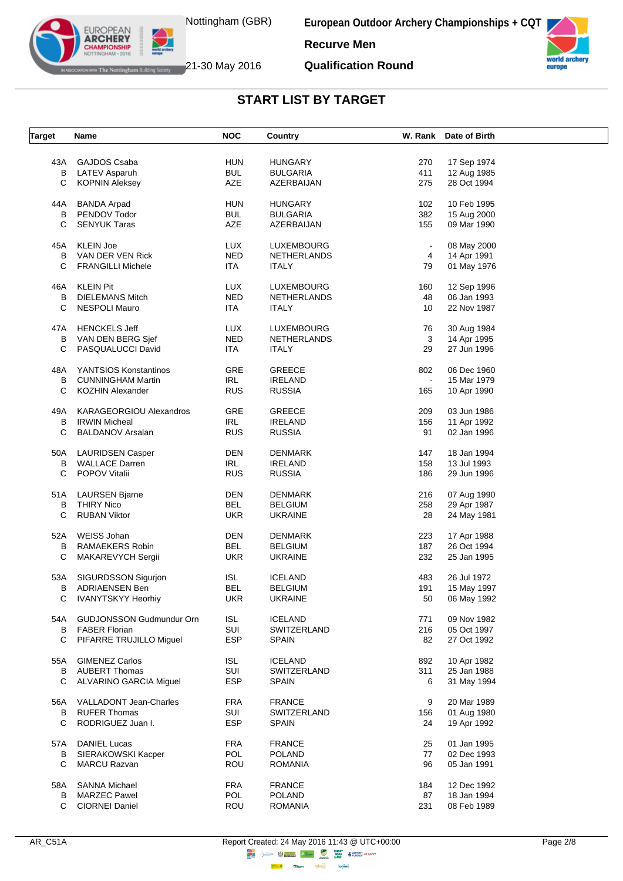



**Qualification Round**



The Nottingham Building Society  $21$ -30 May 2016

EUROPEAN **ARCHERY IPIONSHII** 

| Target | Name                            | <b>NOC</b> | Country         |                | W. Rank Date of Birth |  |
|--------|---------------------------------|------------|-----------------|----------------|-----------------------|--|
|        |                                 |            |                 |                |                       |  |
| 43A    | GAJDOS Csaba                    | <b>HUN</b> | <b>HUNGARY</b>  | 270            | 17 Sep 1974           |  |
| B      | LATEV Asparuh                   | <b>BUL</b> | <b>BULGARIA</b> | 411            | 12 Aug 1985           |  |
| С      | <b>KOPNIN Aleksey</b>           | AZE        | AZERBAIJAN      | 275            | 28 Oct 1994           |  |
|        |                                 |            |                 |                |                       |  |
| 44A    | <b>BANDA Arpad</b>              | <b>HUN</b> | <b>HUNGARY</b>  | 102            | 10 Feb 1995           |  |
| В      | PENDOV Todor                    | <b>BUL</b> | <b>BULGARIA</b> | 382            | 15 Aug 2000           |  |
| C      | <b>SENYUK Taras</b>             | AZE        | AZERBAIJAN      | 155            | 09 Mar 1990           |  |
| 45A    | <b>KLEIN Joe</b>                | <b>LUX</b> | LUXEMBOURG      | $\blacksquare$ | 08 May 2000           |  |
|        |                                 | <b>NED</b> |                 |                |                       |  |
| В      | VAN DER VEN Rick                |            | NETHERLANDS     | 4              | 14 Apr 1991           |  |
| С      | <b>FRANGILLI Michele</b>        | <b>ITA</b> | <b>ITALY</b>    | 79             | 01 May 1976           |  |
| 46A    | <b>KLEIN Pit</b>                | <b>LUX</b> | LUXEMBOURG      | 160            | 12 Sep 1996           |  |
| B      | <b>DIELEMANS Mitch</b>          | <b>NED</b> | NETHERLANDS     | 48             | 06 Jan 1993           |  |
| С      | <b>NESPOLI Mauro</b>            | ITA.       | <b>ITALY</b>    | 10             | 22 Nov 1987           |  |
|        |                                 |            |                 |                |                       |  |
| 47A    | <b>HENCKELS Jeff</b>            | <b>LUX</b> | LUXEMBOURG      | 76             | 30 Aug 1984           |  |
| в      | VAN DEN BERG Sjef               | <b>NED</b> | NETHERLANDS     | 3              | 14 Apr 1995           |  |
| C      | PASQUALUCCI David               | ITA        | <b>ITALY</b>    | 29             | 27 Jun 1996           |  |
| 48A    | YANTSIOS Konstantinos           | <b>GRE</b> | <b>GREECE</b>   | 802            | 06 Dec 1960           |  |
|        |                                 |            |                 |                |                       |  |
| В      | <b>CUNNINGHAM Martin</b>        | <b>IRL</b> | <b>IRELAND</b>  | $\blacksquare$ | 15 Mar 1979           |  |
| С      | <b>KOZHIN Alexander</b>         | <b>RUS</b> | <b>RUSSIA</b>   | 165            | 10 Apr 1990           |  |
| 49A    | <b>KARAGEORGIOU Alexandros</b>  | <b>GRE</b> | <b>GREECE</b>   | 209            | 03 Jun 1986           |  |
| B      | <b>IRWIN Micheal</b>            | <b>IRL</b> | <b>IRELAND</b>  | 156            | 11 Apr 1992           |  |
| С      | <b>BALDANOV Arsalan</b>         | <b>RUS</b> | <b>RUSSIA</b>   | 91             | 02 Jan 1996           |  |
|        |                                 |            |                 |                |                       |  |
| 50A    | <b>LAURIDSEN Casper</b>         | DEN        | <b>DENMARK</b>  | 147            | 18 Jan 1994           |  |
| B      | <b>WALLACE Darren</b>           | IRL        | <b>IRELAND</b>  | 158            | 13 Jul 1993           |  |
| C      | <b>POPOV Vitalii</b>            | <b>RUS</b> | <b>RUSSIA</b>   | 186            | 29 Jun 1996           |  |
|        |                                 |            |                 |                |                       |  |
| 51A    | <b>LAURSEN Bjarne</b>           | DEN        | <b>DENMARK</b>  | 216            | 07 Aug 1990           |  |
| B      | <b>THIRY Nico</b>               | <b>BEL</b> | <b>BELGIUM</b>  | 258            | 29 Apr 1987           |  |
| С      | <b>RUBAN Viktor</b>             | <b>UKR</b> | <b>UKRAINE</b>  | 28             | 24 May 1981           |  |
|        | <b>WEISS Johan</b>              | DEN        | <b>DENMARK</b>  | 223            | 17 Apr 1988           |  |
| 52A    | RAMAEKERS Robin                 | <b>BEL</b> |                 | 187            |                       |  |
| В      |                                 |            | <b>BELGIUM</b>  |                | 26 Oct 1994           |  |
| С      | MAKAREVYCH Sergii               | <b>UKR</b> | <b>UKRAINE</b>  | 232            | 25 Jan 1995           |  |
| 53A    | SIGURDSSON Sigurjon             | <b>ISL</b> | <b>ICELAND</b>  | 483            | 26 Jul 1972           |  |
| в      | <b>ADRIAENSEN Ben</b>           | BEL        | <b>BELGIUM</b>  | 191            | 15 May 1997           |  |
| C.     | <b>IVANYTSKYY Heorhiy</b>       | UKR        | <b>UKRAINE</b>  | 50             | 06 May 1992           |  |
|        |                                 |            |                 |                |                       |  |
| 54A    | <b>GUDJONSSON Gudmundur Orn</b> | <b>ISL</b> | <b>ICELAND</b>  | 771            | 09 Nov 1982           |  |
| B      | <b>FABER Florian</b>            | SUI        | SWITZERLAND     | 216            | 05 Oct 1997           |  |
| С      | PIFARRE TRUJILLO Miguel         | <b>ESP</b> | <b>SPAIN</b>    | 82             | 27 Oct 1992           |  |
| 55A    | <b>GIMENEZ Carlos</b>           | <b>ISL</b> | <b>ICELAND</b>  | 892            | 10 Apr 1982           |  |
|        |                                 |            |                 |                |                       |  |
| B      | <b>AUBERT Thomas</b>            | SUI        | SWITZERLAND     | 311            | 25 Jan 1988           |  |
| С      | ALVARINO GARCIA Miguel          | <b>ESP</b> | <b>SPAIN</b>    | 6              | 31 May 1994           |  |
| 56A    | VALLADONT Jean-Charles          | <b>FRA</b> | <b>FRANCE</b>   | 9              | 20 Mar 1989           |  |
| B      | <b>RUFER Thomas</b>             | SUI        | SWITZERLAND     | 156            | 01 Aug 1980           |  |
| С      | RODRIGUEZ Juan I.               | <b>ESP</b> | <b>SPAIN</b>    | 24             | 19 Apr 1992           |  |
|        |                                 |            |                 |                |                       |  |
| 57A    | <b>DANIEL Lucas</b>             | FRA        | <b>FRANCE</b>   | 25             | 01 Jan 1995           |  |
| В      | SIERAKOWSKI Kacper              | POL        | <b>POLAND</b>   | 77             | 02 Dec 1993           |  |
| С      | <b>MARCU Razvan</b>             | <b>ROU</b> | <b>ROMANIA</b>  | 96             | 05 Jan 1991           |  |
| 58A    | <b>SANNA Michael</b>            | FRA        | <b>FRANCE</b>   | 184            | 12 Dec 1992           |  |
| B      | <b>MARZEC Pawel</b>             | POL        | <b>POLAND</b>   | 87             | 18 Jan 1994           |  |
| С      |                                 |            |                 |                |                       |  |
|        | <b>CIORNEI Daniel</b>           | ROU        | <b>ROMANIA</b>  | 231            | 08 Feb 1989           |  |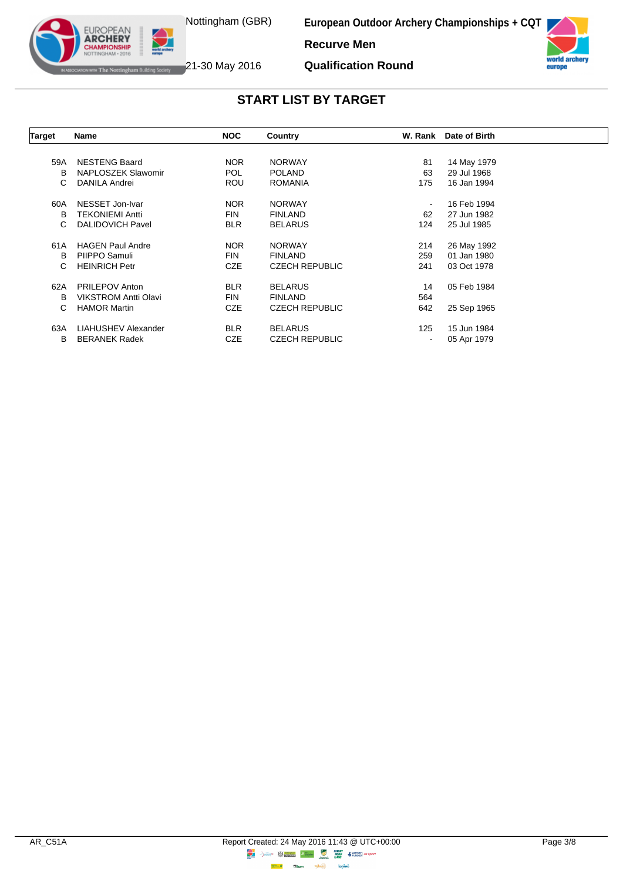

The Nottingham Building Society 21-30 May 2016

**EUROPEAN ARCHERY** 

**European Outdoor Archery Championships + CQT**



**Qualification Round**



| Name                        | <b>NOC</b> | Country               |                          | Date of Birth |         |
|-----------------------------|------------|-----------------------|--------------------------|---------------|---------|
|                             |            |                       |                          |               |         |
| <b>NESTENG Baard</b>        | <b>NOR</b> | <b>NORWAY</b>         | 81                       | 14 May 1979   |         |
| NAPLOSZEK Slawomir          | <b>POL</b> | <b>POLAND</b>         | 63                       | 29 Jul 1968   |         |
| <b>DANILA Andrei</b>        | ROU        | <b>ROMANIA</b>        | 175                      | 16 Jan 1994   |         |
| NESSET Jon-Ivar             | <b>NOR</b> | <b>NORWAY</b>         | $\blacksquare$           | 16 Feb 1994   |         |
| <b>TEKONIEMI Antti</b>      | <b>FIN</b> | <b>FINLAND</b>        | 62                       | 27 Jun 1982   |         |
| <b>DALIDOVICH Pavel</b>     | <b>BLR</b> | <b>BELARUS</b>        | 124                      | 25 Jul 1985   |         |
| <b>HAGEN Paul Andre</b>     | <b>NOR</b> | <b>NORWAY</b>         | 214                      | 26 May 1992   |         |
| PIIPPO Samuli               | <b>FIN</b> | <b>FINLAND</b>        | 259                      | 01 Jan 1980   |         |
| <b>HEINRICH Petr</b>        | <b>CZE</b> | <b>CZECH REPUBLIC</b> | 241                      | 03 Oct 1978   |         |
| <b>PRILEPOV Anton</b>       | <b>BLR</b> | <b>BELARUS</b>        | 14                       | 05 Feb 1984   |         |
| <b>VIKSTROM Antti Olavi</b> | <b>FIN</b> | <b>FINLAND</b>        | 564                      |               |         |
| <b>HAMOR Martin</b>         | <b>CZE</b> | <b>CZECH REPUBLIC</b> | 642                      | 25 Sep 1965   |         |
| LIAHUSHEV Alexander         | <b>BLR</b> | <b>BELARUS</b>        | 125                      | 15 Jun 1984   |         |
| <b>BERANEK Radek</b>        | CZE        | <b>CZECH REPUBLIC</b> | $\overline{\phantom{a}}$ | 05 Apr 1979   |         |
|                             |            |                       |                          |               | W. Rank |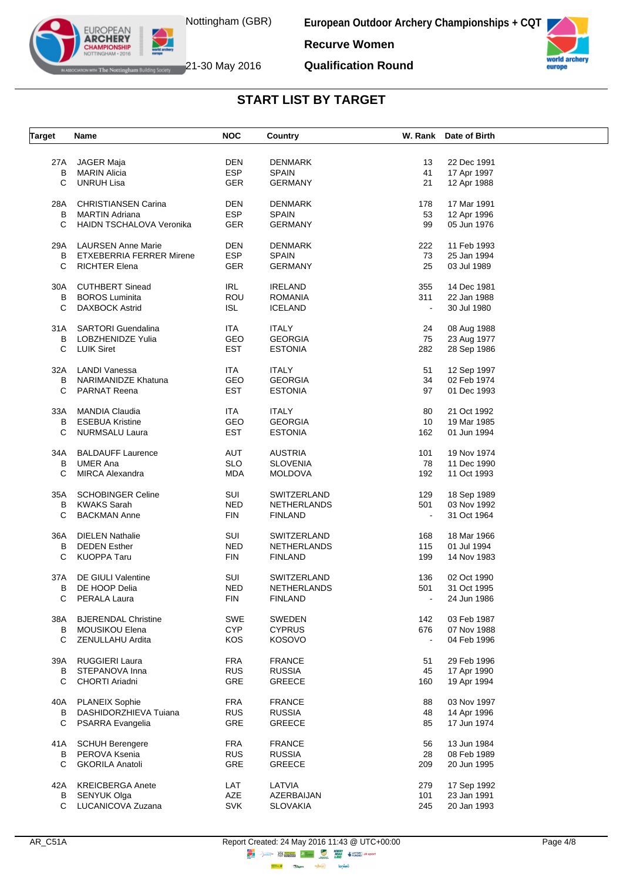



**Qualification Round**



The Nottingham Building Society  $21$ -30 May 2016

EUROPEAN<br>**ARCHERY APIONSHII** 

**START LIST BY TARGET**

| <b>Target</b> | Name                            | <b>NOC</b>        | Country            |                | W. Rank Date of Birth |  |
|---------------|---------------------------------|-------------------|--------------------|----------------|-----------------------|--|
|               |                                 |                   |                    |                |                       |  |
| 27A           | <b>JAGER Maja</b>               | DEN               | <b>DENMARK</b>     | 13             | 22 Dec 1991           |  |
| В             | MARIN Alicia                    | <b>ESP</b>        | <b>SPAIN</b>       | 41             | 17 Apr 1997           |  |
| C             | <b>UNRUH Lisa</b>               | <b>GER</b>        | <b>GERMANY</b>     | 21             | 12 Apr 1988           |  |
| 28A           | <b>CHRISTIANSEN Carina</b>      | DEN               | DENMARK            | 178            | 17 Mar 1991           |  |
| B             | <b>MARTIN Adriana</b>           | <b>ESP</b>        | <b>SPAIN</b>       | 53             | 12 Apr 1996           |  |
| C             | <b>HAIDN TSCHALOVA Veronika</b> | <b>GER</b>        | <b>GERMANY</b>     | 99             | 05 Jun 1976           |  |
|               |                                 |                   |                    |                |                       |  |
| 29A           | <b>LAURSEN Anne Marie</b>       | DEN               | <b>DENMARK</b>     | 222            | 11 Feb 1993           |  |
| B             | <b>ETXEBERRIA FERRER Mirene</b> | <b>ESP</b>        | <b>SPAIN</b>       | 73             | 25 Jan 1994           |  |
| С             | <b>RICHTER Elena</b>            | <b>GER</b>        | <b>GERMANY</b>     | 25             | 03 Jul 1989           |  |
| 30A           | <b>CUTHBERT Sinead</b>          | <b>IRL</b>        | <b>IRELAND</b>     | 355            | 14 Dec 1981           |  |
| B             | <b>BOROS Luminita</b>           | <b>ROU</b>        | <b>ROMANIA</b>     | 311            | 22 Jan 1988           |  |
| C             | <b>DAXBOCK Astrid</b>           | ISL               | <b>ICELAND</b>     | $\blacksquare$ | 30 Jul 1980           |  |
| 31 A          | SARTORI Guendalina              | ITA.              | <b>ITALY</b>       | 24             | 08 Aug 1988           |  |
|               |                                 | GEO               |                    |                |                       |  |
| B             | LOBZHENIDZE Yulia               |                   | <b>GEORGIA</b>     | 75             | 23 Aug 1977           |  |
|               | C LUIK Siret                    | <b>EST</b>        | <b>ESTONIA</b>     | 282            | 28 Sep 1986           |  |
| 32A           | LANDI Vanessa                   | ITA               | <b>ITALY</b>       | 51             | 12 Sep 1997           |  |
| В             | NARIMANIDZE Khatuna             | GEO               | <b>GEORGIA</b>     | 34             | 02 Feb 1974           |  |
| C             | <b>PARNAT Reena</b>             | EST               | <b>ESTONIA</b>     | 97             | 01 Dec 1993           |  |
| 33A           | MANDIA Claudia                  | ITA.              | <b>ITALY</b>       | 80             | 21 Oct 1992           |  |
|               | <b>B</b> ESEBUA Kristine        | GEO               | <b>GEORGIA</b>     | 10             | 19 Mar 1985           |  |
| C             | NURMSALU Laura                  | EST               | <b>ESTONIA</b>     | 162            | 01 Jun 1994           |  |
|               |                                 |                   |                    |                |                       |  |
| 34A           | <b>BALDAUFF Laurence</b>        | AUT               | <b>AUSTRIA</b>     | 101            | 19 Nov 1974           |  |
| B             | <b>UMER Ana</b>                 | <b>SLO</b>        | <b>SLOVENIA</b>    | 78             | 11 Dec 1990           |  |
| C             | <b>MIRCA Alexandra</b>          | MDA               | <b>MOLDOVA</b>     | 192            | 11 Oct 1993           |  |
| 35A           | <b>SCHOBINGER Celine</b>        | SUI               | SWITZERLAND        | 129            | 18 Sep 1989           |  |
| B             | <b>KWAKS Sarah</b>              | <b>NED</b>        | NETHERLANDS        | 501            | 03 Nov 1992           |  |
| C             | <b>BACKMAN Anne</b>             | <b>FIN</b>        | <b>FINLAND</b>     | $\blacksquare$ | 31 Oct 1964           |  |
|               |                                 |                   |                    |                |                       |  |
| 36A           | <b>DIELEN Nathalie</b>          | SUI               | SWITZERLAND        | 168            | 18 Mar 1966           |  |
| B             | <b>DEDEN Esther</b>             | NED               | <b>NETHERLANDS</b> | 115            | 01 Jul 1994           |  |
| C             | KUOPPA Taru                     | <b>FIN</b>        | <b>FINLAND</b>     | 199            | 14 Nov 1983           |  |
| 37A           | DE GIULI Valentine              | SUI               | SWITZERLAND        | 136            | 02 Oct 1990           |  |
| В             | DE HOOP Delia                   | <b>NED</b>        | NETHERLANDS        | 501            | 31 Oct 1995           |  |
| С             | PERALA Laura                    | <b>FIN</b>        | <b>FINLAND</b>     |                | 24 Jun 1986           |  |
|               |                                 |                   |                    |                |                       |  |
| 38A           | <b>BJERENDAL Christine</b>      | <b>SWE</b>        | SWEDEN             | 142            | 03 Feb 1987           |  |
| B             | MOUSIKOU Elena                  | <b>CYP</b>        | <b>CYPRUS</b>      | 676            | 07 Nov 1988           |  |
| С             | ZENULLAHU Ardita                | KOS               | <b>KOSOVO</b>      | $\blacksquare$ | 04 Feb 1996           |  |
| 39A           | RUGGIERI Laura                  | <b>FRA</b>        | <b>FRANCE</b>      | 51             | 29 Feb 1996           |  |
|               | STEPANOVA Inna                  |                   |                    |                | 17 Apr 1990           |  |
| В             |                                 | <b>RUS</b>        | <b>RUSSIA</b>      | 45             |                       |  |
| C             | CHORTI Ariadni                  | GRE               | <b>GREECE</b>      | 160            | 19 Apr 1994           |  |
| 40A           | <b>PLANEIX Sophie</b>           | <b>FRA</b>        | <b>FRANCE</b>      | 88             | 03 Nov 1997           |  |
| В             | DASHIDORZHIEVA Tujana           | <b>RUS</b>        | <b>RUSSIA</b>      | 48             | 14 Apr 1996           |  |
| С             | <b>PSARRA Evangelia</b>         | GRE               | GREECE             | 85             | 17 Jun 1974           |  |
| 41 A          | <b>SCHUH Berengere</b>          | <b>FRA</b>        | <b>FRANCE</b>      | 56             | 13 Jun 1984           |  |
| B             | PEROVA Ksenia                   | <b>RUS</b>        | <b>RUSSIA</b>      | 28             | 08 Feb 1989           |  |
| С             | <b>GKORILA Anatoli</b>          | <b>GRE</b>        | <b>GREECE</b>      | 209            | 20 Jun 1995           |  |
|               |                                 |                   |                    |                |                       |  |
| 42A           | <b>KREICBERGA Anete</b>         | LAT               | LATVIA             | 279            | 17 Sep 1992           |  |
| В             | <b>SENYUK Olga</b>              | AZE<br><b>SVK</b> | AZERBAIJAN         | 101            | 23 Jan 1991           |  |
| C             | LUCANICOVA Zuzana               |                   | <b>SLOVAKIA</b>    | 245            | 20 Jan 1993           |  |

 $\Rightarrow \circledS$ 

**lensed** 

**Highway Citym**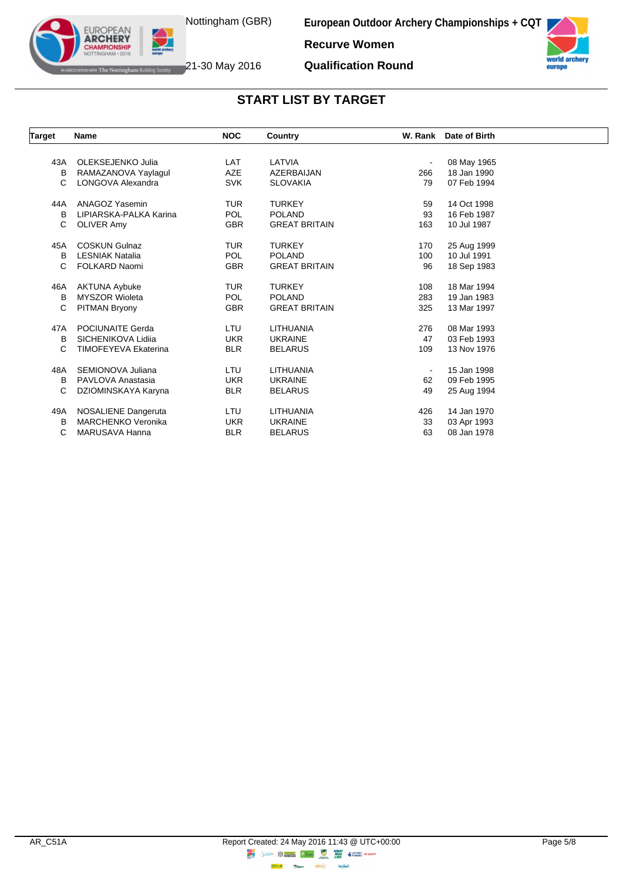



The Nottingham Building Society 21-30 May 2016

EUROPEAN **ARCHERY** 

**Qualification Round**

**Recurve Women**

| Target | Name                        | <b>NOC</b> | Country              |                | W. Rank Date of Birth |  |
|--------|-----------------------------|------------|----------------------|----------------|-----------------------|--|
|        |                             |            |                      |                |                       |  |
| 43A    | OLEKSEJENKO Julia           | <b>LAT</b> | LATVIA               | $\blacksquare$ | 08 May 1965           |  |
| в      | RAMAZANOVA Yaylagul         | AZE        | AZERBAIJAN           | 266            | 18 Jan 1990           |  |
| C      | LONGOVA Alexandra           | <b>SVK</b> | <b>SLOVAKIA</b>      | 79             | 07 Feb 1994           |  |
| 44A    | <b>ANAGOZ Yasemin</b>       | <b>TUR</b> | <b>TURKEY</b>        | 59             | 14 Oct 1998           |  |
| B      | LIPIARSKA-PALKA Karina      | <b>POL</b> | <b>POLAND</b>        | 93             | 16 Feb 1987           |  |
| C      | <b>OLIVER Amy</b>           | <b>GBR</b> | <b>GREAT BRITAIN</b> | 163            | 10 Jul 1987           |  |
| 45A    | <b>COSKUN Gulnaz</b>        | <b>TUR</b> | <b>TURKEY</b>        | 170            | 25 Aug 1999           |  |
| B      | <b>LESNIAK Natalia</b>      | <b>POL</b> | <b>POLAND</b>        | 100            | 10 Jul 1991           |  |
| C      | <b>FOLKARD Naomi</b>        | <b>GBR</b> | <b>GREAT BRITAIN</b> | 96             | 18 Sep 1983           |  |
| 46A    | <b>AKTUNA Aybuke</b>        | <b>TUR</b> | <b>TURKEY</b>        | 108            | 18 Mar 1994           |  |
| B      | <b>MYSZOR Wioleta</b>       | <b>POL</b> | <b>POLAND</b>        | 283            | 19 Jan 1983           |  |
| C      | <b>PITMAN Bryony</b>        | <b>GBR</b> | <b>GREAT BRITAIN</b> | 325            | 13 Mar 1997           |  |
| 47A    | <b>POCIUNAITE Gerda</b>     | LTU        | LITHUANIA            | 276            | 08 Mar 1993           |  |
| B      | SICHENIKOVA Lidija          | <b>UKR</b> | <b>UKRAINE</b>       | 47             | 03 Feb 1993           |  |
| C      | <b>TIMOFEYEVA Ekaterina</b> | <b>BLR</b> | <b>BELARUS</b>       | 109            | 13 Nov 1976           |  |
| 48A    | SEMIONOVA Juliana           | LTU        | LITHUANIA            |                | 15 Jan 1998           |  |
| B      | PAVLOVA Anastasia           | <b>UKR</b> | <b>UKRAINE</b>       | 62             | 09 Feb 1995           |  |
| C      | DZIOMINSKAYA Karyna         | <b>BLR</b> | <b>BELARUS</b>       | 49             | 25 Aug 1994           |  |
| 49A    | NOSALIENE Dangeruta         | LTU        | LITHUANIA            | 426            | 14 Jan 1970           |  |
| B      | <b>MARCHENKO Veronika</b>   | <b>UKR</b> | <b>UKRAINE</b>       | 33             | 03 Apr 1993           |  |
| С      | MARUSAVA Hanna              | <b>BLR</b> | <b>BELARUS</b>       | 63             | 08 Jan 1978           |  |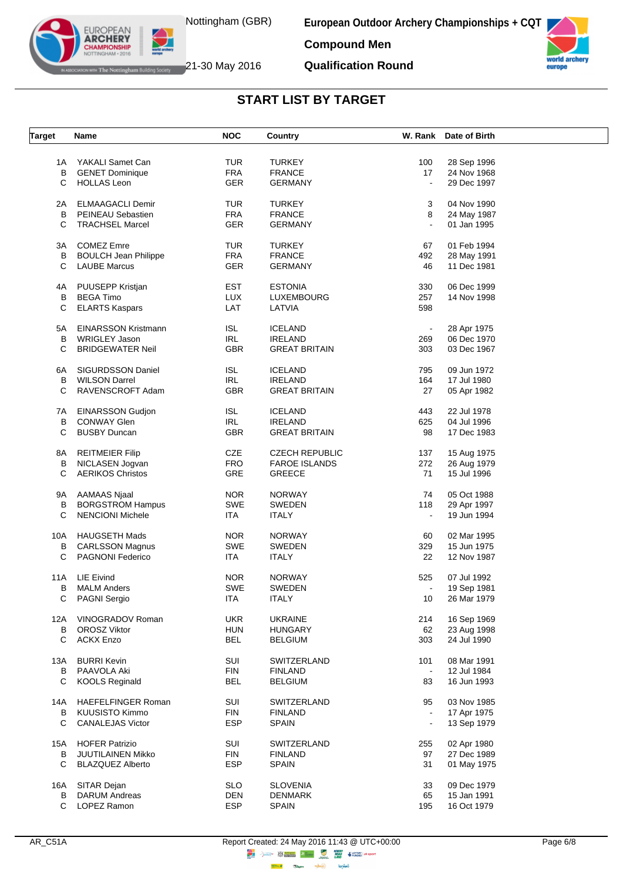

The Nottingham Building Society  $21$ -30 May 2016

EUROPEAN **ARCHERY APIONSHII** 

**European Outdoor Archery Championships + CQT**



**Qualification Round**



#### **START LIST BY TARGET**

| <b>Target</b> | Name                        | <b>NOC</b>     | Country                       |                | W. Rank Date of Birth |  |
|---------------|-----------------------------|----------------|-------------------------------|----------------|-----------------------|--|
|               |                             |                |                               |                |                       |  |
| 1A            | YAKALI Samet Can            | <b>TUR</b>     | <b>TURKEY</b>                 | 100            | 28 Sep 1996           |  |
|               | <b>B</b> GENET Dominique    | <b>FRA</b>     | <b>FRANCE</b>                 | 17             | 24 Nov 1968           |  |
| С             | <b>HOLLAS Leon</b>          | <b>GER</b>     | <b>GERMANY</b>                | $\blacksquare$ | 29 Dec 1997           |  |
|               |                             |                |                               |                |                       |  |
| 2A            | ELMAAGACLI Demir            | <b>TUR</b>     | <b>TURKEY</b>                 | 3              | 04 Nov 1990           |  |
| B             | PEINEAU Sebastien           | <b>FRA</b>     | <b>FRANCE</b>                 | 8              | 24 May 1987           |  |
| С             | <b>TRACHSEL Marcel</b>      | GER            | <b>GERMANY</b>                |                | 01 Jan 1995           |  |
|               |                             |                |                               |                |                       |  |
| 3A            | <b>COMEZ Emre</b>           | <b>TUR</b>     | <b>TURKEY</b>                 | 67             | 01 Feb 1994           |  |
| В             | <b>BOULCH Jean Philippe</b> | <b>FRA</b>     | <b>FRANCE</b>                 | 492            | 28 May 1991           |  |
| С             | <b>LAUBE Marcus</b>         | <b>GER</b>     | <b>GERMANY</b>                | 46             | 11 Dec 1981           |  |
|               |                             |                |                               |                |                       |  |
| 4A            | PUUSEPP Kristjan            | <b>EST</b>     | <b>ESTONIA</b>                | 330            | 06 Dec 1999           |  |
| B             | <b>BEGA Timo</b>            | <b>LUX</b>     | <b>LUXEMBOURG</b>             | 257            | 14 Nov 1998           |  |
| C             | <b>ELARTS Kaspars</b>       | LAT            | LATVIA                        | 598            |                       |  |
|               | <b>EINARSSON Kristmann</b>  | <b>ISL</b>     |                               |                |                       |  |
| 5A            |                             |                | <b>ICELAND</b>                | $\bullet$      | 28 Apr 1975           |  |
| В             | <b>WRIGLEY Jason</b>        | <b>IRL</b>     | <b>IRELAND</b>                | 269            | 06 Dec 1970           |  |
| C             | <b>BRIDGEWATER Neil</b>     | GBR            | <b>GREAT BRITAIN</b>          | 303            | 03 Dec 1967           |  |
| 6A            | SIGURDSSON Daniel           | <b>ISL</b>     | <b>ICELAND</b>                | 795            | 09 Jun 1972           |  |
| B             | <b>WILSON Darrel</b>        | <b>IRL</b>     | <b>IRELAND</b>                | 164            | 17 Jul 1980           |  |
| С             | RAVENSCROFT Adam            | <b>GBR</b>     | <b>GREAT BRITAIN</b>          | 27             | 05 Apr 1982           |  |
|               |                             |                |                               |                |                       |  |
| 7A            | <b>EINARSSON Gudjon</b>     | ISL            | <b>ICELAND</b>                | 443            | 22 Jul 1978           |  |
| B             | <b>CONWAY Glen</b>          | IRL            | <b>IRELAND</b>                | 625            | 04 Jul 1996           |  |
| C             | <b>BUSBY Duncan</b>         | GBR            | <b>GREAT BRITAIN</b>          | 98             | 17 Dec 1983           |  |
|               |                             |                |                               |                |                       |  |
| 8A            | <b>REITMEIER Filip</b>      | CZE            | <b>CZECH REPUBLIC</b>         | 137            | 15 Aug 1975           |  |
| B             | NICLASEN Jogvan             | <b>FRO</b>     | <b>FAROE ISLANDS</b>          | 272            | 26 Aug 1979           |  |
| С             | <b>AERIKOS Christos</b>     | GRE            | <b>GREECE</b>                 | 71             | 15 Jul 1996           |  |
|               |                             |                |                               |                |                       |  |
| 9A            | AAMAAS Njaal                | <b>NOR</b>     | <b>NORWAY</b>                 | 74             | 05 Oct 1988           |  |
| В             | <b>BORGSTROM Hampus</b>     | <b>SWE</b>     | SWEDEN                        | 118            | 29 Apr 1997           |  |
| C             | <b>NENCIONI Michele</b>     | ITA            | <b>ITALY</b>                  | $\blacksquare$ | 19 Jun 1994           |  |
|               |                             |                |                               |                |                       |  |
| 10A           | <b>HAUGSETH Mads</b>        | <b>NOR</b>     | <b>NORWAY</b>                 | 60             | 02 Mar 1995           |  |
| В             | <b>CARLSSON Magnus</b>      | <b>SWE</b>     | <b>SWEDEN</b>                 | 329            | 15 Jun 1975           |  |
| С             | PAGNONI Federico            | ITA            | <b>ITALY</b>                  | 22             | 12 Nov 1987           |  |
| 11A           | LIE Eivind                  | <b>NOR</b>     | <b>NORWAY</b>                 | 525            | 07 Jul 1992           |  |
| В             | <b>MALM Anders</b>          | <b>SWE</b>     | <b>SWEDEN</b>                 | $\blacksquare$ |                       |  |
|               |                             |                |                               |                | 19 Sep 1981           |  |
| C.            | PAGNI Sergio                | ITA            | <b>ITALY</b>                  | 10             | 26 Mar 1979           |  |
| 12A           | VINOGRADOV Roman            | <b>UKR</b>     | <b>UKRAINE</b>                | 214            | 16 Sep 1969           |  |
| В             | <b>OROSZ Viktor</b>         | <b>HUN</b>     | <b>HUNGARY</b>                | 62             | 23 Aug 1998           |  |
| C             | <b>ACKX Enzo</b>            | <b>BEL</b>     | <b>BELGIUM</b>                | 303            | 24 Jul 1990           |  |
|               |                             |                |                               |                |                       |  |
| 13A           | <b>BURRI Kevin</b>          | SUI            | SWITZERLAND                   | 101            | 08 Mar 1991           |  |
| B             | PAAVOLA Aki                 | $\mathsf{FIN}$ | <b>FINLAND</b>                | $\sim$         | 12 Jul 1984           |  |
| С             | <b>KOOLS Reginald</b>       | <b>BEL</b>     | <b>BELGIUM</b>                | 83             | 16 Jun 1993           |  |
|               |                             |                |                               |                |                       |  |
| 14A           | <b>HAEFELFINGER Roman</b>   | SUI            | SWITZERLAND                   | 95             | 03 Nov 1985           |  |
| B             | <b>KUUSISTO Kimmo</b>       | <b>FIN</b>     | <b>FINLAND</b>                | $\blacksquare$ | 17 Apr 1975           |  |
| С             | <b>CANALEJAS Victor</b>     | <b>ESP</b>     | <b>SPAIN</b>                  | $\blacksquare$ | 13 Sep 1979           |  |
|               | <b>HOFER Patrizio</b>       | SUI            |                               |                | 02 Apr 1980           |  |
| 15A<br>В      | JUUTILAINEN Mikko           | <b>FIN</b>     | SWITZERLAND<br><b>FINLAND</b> | 255            | 27 Dec 1989           |  |
|               |                             |                |                               | 97             |                       |  |
| C             | <b>BLAZQUEZ Alberto</b>     | <b>ESP</b>     | <b>SPAIN</b>                  | 31             | 01 May 1975           |  |
|               | 16A SITAR Dejan             | <b>SLO</b>     | <b>SLOVENIA</b>               | 33             | 09 Dec 1979           |  |
| В             | <b>DARUM Andreas</b>        | <b>DEN</b>     | <b>DENMARK</b>                | 65             | 15 Jan 1991           |  |
| C             | LOPEZ Ramon                 | <b>ESP</b>     | <b>SPAIN</b>                  | 195            | 16 Oct 1979           |  |
|               |                             |                |                               |                |                       |  |

**Highway Citym lensed**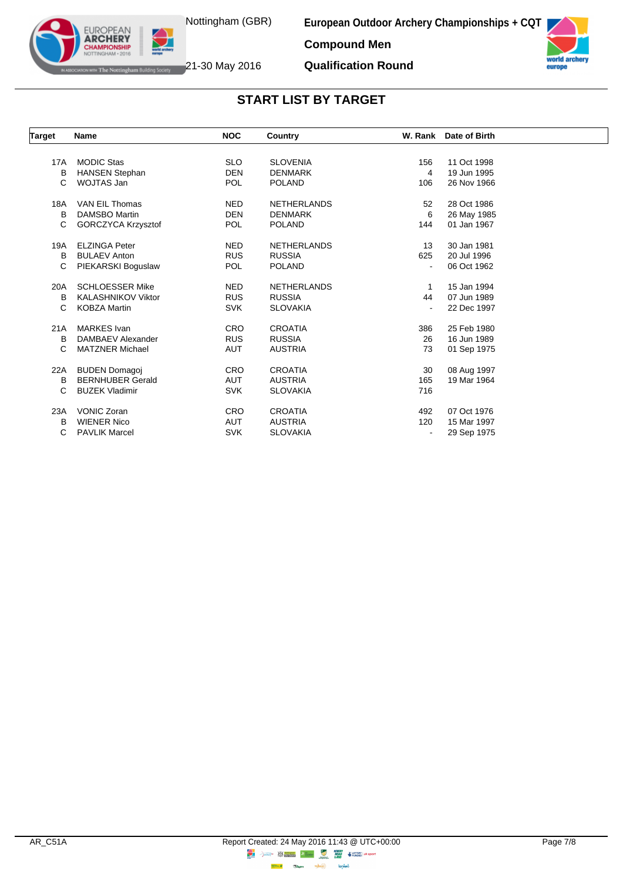



world arc europe

The Nottingham Building Society 21-30 May 2016

**EUROPEAN ARCHERY** 

**Qualification Round**

| Target | Name                      | <b>NOC</b> | Country            |     | W. Rank Date of Birth |  |
|--------|---------------------------|------------|--------------------|-----|-----------------------|--|
|        |                           |            |                    |     |                       |  |
| 17A    | <b>MODIC Stas</b>         | <b>SLO</b> | <b>SLOVENIA</b>    | 156 | 11 Oct 1998           |  |
| B      | <b>HANSEN Stephan</b>     | <b>DEN</b> | <b>DENMARK</b>     | 4   | 19 Jun 1995           |  |
| C      | WOJTAS Jan                | <b>POL</b> | <b>POLAND</b>      | 106 | 26 Nov 1966           |  |
| 18A    | VAN EIL Thomas            | <b>NED</b> | <b>NETHERLANDS</b> | 52  | 28 Oct 1986           |  |
| B      | <b>DAMSBO Martin</b>      | <b>DEN</b> | <b>DENMARK</b>     | 6   | 26 May 1985           |  |
| C      | GORCZYCA Krzysztof        | <b>POL</b> | <b>POLAND</b>      | 144 | 01 Jan 1967           |  |
| 19A    | <b>ELZINGA Peter</b>      | <b>NED</b> | <b>NETHERLANDS</b> | 13  | 30 Jan 1981           |  |
| B      | <b>BULAEV Anton</b>       | <b>RUS</b> | <b>RUSSIA</b>      | 625 | 20 Jul 1996           |  |
| С      | PIEKARSKI Boguslaw        | <b>POL</b> | <b>POLAND</b>      |     | 06 Oct 1962           |  |
| 20A    | <b>SCHLOESSER Mike</b>    | <b>NED</b> | <b>NETHERLANDS</b> | 1   | 15 Jan 1994           |  |
| B      | <b>KALASHNIKOV Viktor</b> | <b>RUS</b> | <b>RUSSIA</b>      | 44  | 07 Jun 1989           |  |
| C      | <b>KOBZA Martin</b>       | <b>SVK</b> | <b>SLOVAKIA</b>    |     | 22 Dec 1997           |  |
| 21A    | <b>MARKES</b> Ivan        | <b>CRO</b> | <b>CROATIA</b>     | 386 | 25 Feb 1980           |  |
| B      | DAMBAEV Alexander         | <b>RUS</b> | <b>RUSSIA</b>      | 26  | 16 Jun 1989           |  |
| С      | <b>MATZNER Michael</b>    | <b>AUT</b> | <b>AUSTRIA</b>     | 73  | 01 Sep 1975           |  |
| 22A    | <b>BUDEN Domagoj</b>      | <b>CRO</b> | <b>CROATIA</b>     | 30  | 08 Aug 1997           |  |
| В      | <b>BERNHUBER Gerald</b>   | <b>AUT</b> | <b>AUSTRIA</b>     | 165 | 19 Mar 1964           |  |
| С      | <b>BUZEK Vladimir</b>     | <b>SVK</b> | <b>SLOVAKIA</b>    | 716 |                       |  |
| 23A    | <b>VONIC Zoran</b>        | <b>CRO</b> | <b>CROATIA</b>     | 492 | 07 Oct 1976           |  |
| B      | <b>WIENER Nico</b>        | <b>AUT</b> | <b>AUSTRIA</b>     | 120 | 15 Mar 1997           |  |
| С      | <b>PAVLIK Marcel</b>      | <b>SVK</b> | <b>SLOVAKIA</b>    |     | 29 Sep 1975           |  |